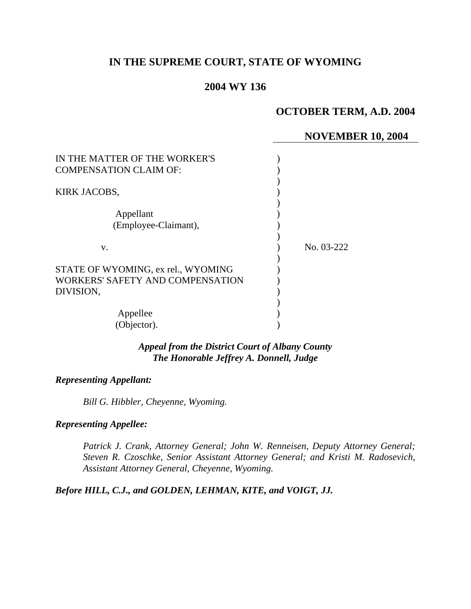# **IN THE SUPREME COURT, STATE OF WYOMING**

## **2004 WY 136**

## **OCTOBER TERM, A.D. 2004**

## **NOVEMBER 10, 2004**

| IN THE MATTER OF THE WORKER'S      |            |
|------------------------------------|------------|
| <b>COMPENSATION CLAIM OF:</b>      |            |
|                                    |            |
| KIRK JACOBS,                       |            |
|                                    |            |
| Appellant                          |            |
| (Employee-Claimant),               |            |
|                                    |            |
| v.                                 | No. 03-222 |
|                                    |            |
| STATE OF WYOMING, ex rel., WYOMING |            |
| WORKERS' SAFETY AND COMPENSATION   |            |
| DIVISION,                          |            |
|                                    |            |
| Appellee                           |            |
|                                    |            |
| (Objector).                        |            |

*Appeal from the District Court of Albany County The Honorable Jeffrey A. Donnell, Judge* 

#### *Representing Appellant:*

*Bill G. Hibbler, Cheyenne, Wyoming.* 

### *Representing Appellee:*

*Patrick J. Crank, Attorney General; John W. Renneisen, Deputy Attorney General; Steven R. Czoschke, Senior Assistant Attorney General; and Kristi M. Radosevich, Assistant Attorney General, Cheyenne, Wyoming.* 

*Before HILL, C.J., and GOLDEN, LEHMAN, KITE, and VOIGT, JJ.*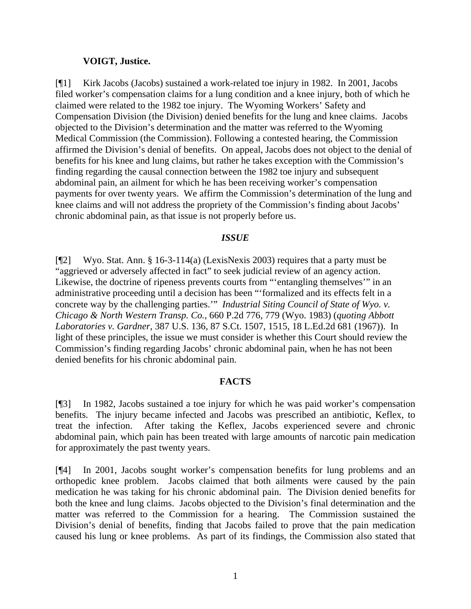### **VOIGT, Justice.**

[¶1] Kirk Jacobs (Jacobs) sustained a work-related toe injury in 1982. In 2001, Jacobs filed worker's compensation claims for a lung condition and a knee injury, both of which he claimed were related to the 1982 toe injury. The Wyoming Workers' Safety and Compensation Division (the Division) denied benefits for the lung and knee claims. Jacobs objected to the Division's determination and the matter was referred to the Wyoming Medical Commission (the Commission). Following a contested hearing, the Commission affirmed the Division's denial of benefits. On appeal, Jacobs does not object to the denial of benefits for his knee and lung claims, but rather he takes exception with the Commission's finding regarding the causal connection between the 1982 toe injury and subsequent abdominal pain, an ailment for which he has been receiving worker's compensation payments for over twenty years. We affirm the Commission's determination of the lung and knee claims and will not address the propriety of the Commission's finding about Jacobs' chronic abdominal pain, as that issue is not properly before us.

### *ISSUE*

[¶2] Wyo. Stat. Ann. § 16-3-114(a) (LexisNexis 2003) requires that a party must be "aggrieved or adversely affected in fact" to seek judicial review of an agency action. Likewise, the doctrine of ripeness prevents courts from "'entangling themselves'" in an administrative proceeding until a decision has been "'formalized and its effects felt in a concrete way by the challenging parties.'" *Industrial Siting Council of State of Wyo. v. Chicago & North Western Transp. Co.*, 660 P.2d 776, 779 (Wyo. 1983) (*quoting Abbott Laboratories v. Gardner*, 387 U.S. 136, 87 S.Ct. 1507, 1515, 18 L.Ed.2d 681 (1967)). In light of these principles, the issue we must consider is whether this Court should review the Commission's finding regarding Jacobs' chronic abdominal pain, when he has not been denied benefits for his chronic abdominal pain.

## **FACTS**

[¶3] In 1982, Jacobs sustained a toe injury for which he was paid worker's compensation benefits. The injury became infected and Jacobs was prescribed an antibiotic, Keflex, to treat the infection. After taking the Keflex, Jacobs experienced severe and chronic abdominal pain, which pain has been treated with large amounts of narcotic pain medication for approximately the past twenty years.

[¶4] In 2001, Jacobs sought worker's compensation benefits for lung problems and an orthopedic knee problem. Jacobs claimed that both ailments were caused by the pain medication he was taking for his chronic abdominal pain. The Division denied benefits for both the knee and lung claims. Jacobs objected to the Division's final determination and the matter was referred to the Commission for a hearing. The Commission sustained the Division's denial of benefits, finding that Jacobs failed to prove that the pain medication caused his lung or knee problems. As part of its findings, the Commission also stated that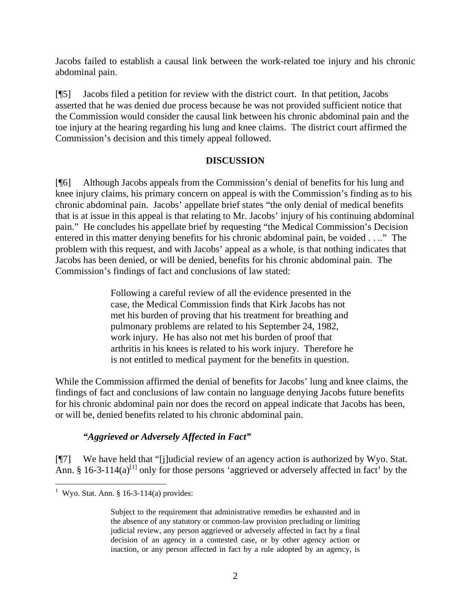Jacobs failed to establish a causal link between the work-related toe injury and his chronic abdominal pain.

[¶5] Jacobs filed a petition for review with the district court. In that petition, Jacobs asserted that he was denied due process because he was not provided sufficient notice that the Commission would consider the causal link between his chronic abdominal pain and the toe injury at the hearing regarding his lung and knee claims. The district court affirmed the Commission's decision and this timely appeal followed.

## **DISCUSSION**

[¶6] Although Jacobs appeals from the Commission's denial of benefits for his lung and knee injury claims, his primary concern on appeal is with the Commission's finding as to his chronic abdominal pain. Jacobs' appellate brief states "the only denial of medical benefits that is at issue in this appeal is that relating to Mr. Jacobs' injury of his continuing abdominal pain." He concludes his appellate brief by requesting "the Medical Commission's Decision entered in this matter denying benefits for his chronic abdominal pain, be voided . . .." The problem with this request, and with Jacobs' appeal as a whole, is that nothing indicates that Jacobs has been denied, or will be denied, benefits for his chronic abdominal pain. The Commission's findings of fact and conclusions of law stated:

> Following a careful review of all the evidence presented in the case, the Medical Commission finds that Kirk Jacobs has not met his burden of proving that his treatment for breathing and pulmonary problems are related to his September 24, 1982, work injury. He has also not met his burden of proof that arthritis in his knees is related to his work injury. Therefore he is not entitled to medical payment for the benefits in question.

While the Commission affirmed the denial of benefits for Jacobs' lung and knee claims, the findings of fact and conclusions of law contain no language denying Jacobs future benefits for his chronic abdominal pain nor does the record on appeal indicate that Jacobs has been, or will be, denied benefits related to his chronic abdominal pain.

# *"Aggrieved or Adversely Affected in Fact"*

[¶7] We have held that "[j]udicial review of an agency action is authorized by Wyo. Stat. Ann. § 16-3-114(a)<sup>[1]</sup> only for those persons 'aggrieved or adversely affected in fact' by the

 1 Wyo. Stat. Ann. § 16-3-114(a) provides:

Subject to the requirement that administrative remedies be exhausted and in the absence of any statutory or common-law provision precluding or limiting judicial review, any person aggrieved or adversely affected in fact by a final decision of an agency in a contested case, or by other agency action or inaction, or any person affected in fact by a rule adopted by an agency, is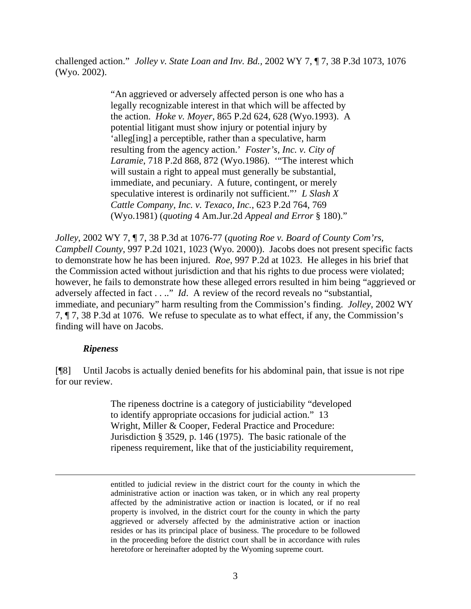challenged action." *Jolley v. State Loan and Inv. Bd.,* 2002 WY 7, ¶ 7, 38 P.3d 1073, 1076 (Wyo. 2002).

> "An aggrieved or adversely affected person is one who has a legally recognizable interest in that which will be affected by the action. *Hoke v. Moyer*, 865 P.2d 624, 628 (Wyo.1993). A potential litigant must show injury or potential injury by 'alleg[ing] a perceptible, rather than a speculative, harm resulting from the agency action.' *Foster's, Inc. v. City of Laramie*, 718 P.2d 868, 872 (Wyo.1986). '"The interest which will sustain a right to appeal must generally be substantial, immediate, and pecuniary. A future, contingent, or merely speculative interest is ordinarily not sufficient."' *L Slash X Cattle Company, Inc. v. Texaco, Inc.*, 623 P.2d 764, 769 (Wyo.1981) (*quoting* 4 Am.Jur.2d *Appeal and Error* § 180)."

*Jolley*, 2002 WY 7, ¶ 7, 38 P.3d at 1076-77 (*quoting Roe v. Board of County Com'rs, Campbell County*, 997 P.2d 1021, 1023 (Wyo. 2000)). Jacobs does not present specific facts to demonstrate how he has been injured. *Roe*, 997 P.2d at 1023. He alleges in his brief that the Commission acted without jurisdiction and that his rights to due process were violated; however, he fails to demonstrate how these alleged errors resulted in him being "aggrieved or adversely affected in fact . . .." *Id*. A review of the record reveals no "substantial, immediate, and pecuniary" harm resulting from the Commission's finding. *Jolley*, 2002 WY 7, ¶ 7, 38 P.3d at 1076. We refuse to speculate as to what effect, if any, the Commission's finding will have on Jacobs.

## *Ripeness*

 $\overline{a}$ 

[¶8] Until Jacobs is actually denied benefits for his abdominal pain, that issue is not ripe for our review.

> The ripeness doctrine is a category of justiciability "developed to identify appropriate occasions for judicial action." 13 Wright, Miller & Cooper, Federal Practice and Procedure: Jurisdiction § 3529, p. 146 (1975). The basic rationale of the ripeness requirement, like that of the justiciability requirement,

entitled to judicial review in the district court for the county in which the administrative action or inaction was taken, or in which any real property affected by the administrative action or inaction is located, or if no real property is involved, in the district court for the county in which the party aggrieved or adversely affected by the administrative action or inaction resides or has its principal place of business. The procedure to be followed in the proceeding before the district court shall be in accordance with rules heretofore or hereinafter adopted by the Wyoming supreme court.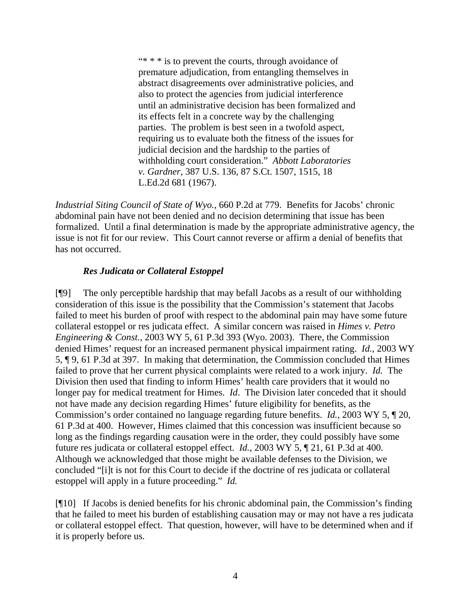" $* * *$  is to prevent the courts, through avoidance of premature adjudication, from entangling themselves in abstract disagreements over administrative policies, and also to protect the agencies from judicial interference until an administrative decision has been formalized and its effects felt in a concrete way by the challenging parties. The problem is best seen in a twofold aspect, requiring us to evaluate both the fitness of the issues for judicial decision and the hardship to the parties of withholding court consideration." *Abbott Laboratories v. Gardner*, 387 U.S. 136, 87 S.Ct. 1507, 1515, 18 L.Ed.2d 681 (1967).

*Industrial Siting Council of State of Wyo.*, 660 P.2d at 779. Benefits for Jacobs' chronic abdominal pain have not been denied and no decision determining that issue has been formalized. Until a final determination is made by the appropriate administrative agency, the issue is not fit for our review. This Court cannot reverse or affirm a denial of benefits that has not occurred.

## *Res Judicata or Collateral Estoppel*

[¶9] The only perceptible hardship that may befall Jacobs as a result of our withholding consideration of this issue is the possibility that the Commission's statement that Jacobs failed to meet his burden of proof with respect to the abdominal pain may have some future collateral estoppel or res judicata effect. A similar concern was raised in *Himes v. Petro Engineering & Const.,* 2003 WY 5, 61 P.3d 393 (Wyo. 2003). There, the Commission denied Himes' request for an increased permanent physical impairment rating. *Id.*, 2003 WY 5, ¶ 9, 61 P.3d at 397. In making that determination, the Commission concluded that Himes failed to prove that her current physical complaints were related to a work injury. *Id.* The Division then used that finding to inform Himes' health care providers that it would no longer pay for medical treatment for Himes. *Id*. The Division later conceded that it should not have made any decision regarding Himes' future eligibility for benefits, as the Commission's order contained no language regarding future benefits. *Id.*, 2003 WY 5, ¶ 20, 61 P.3d at 400. However, Himes claimed that this concession was insufficient because so long as the findings regarding causation were in the order, they could possibly have some future res judicata or collateral estoppel effect. *Id.*, 2003 WY 5, ¶ 21, 61 P.3d at 400. Although we acknowledged that those might be available defenses to the Division, we concluded "[i]t is not for this Court to decide if the doctrine of res judicata or collateral estoppel will apply in a future proceeding." *Id.*

[¶10] If Jacobs is denied benefits for his chronic abdominal pain, the Commission's finding that he failed to meet his burden of establishing causation may or may not have a res judicata or collateral estoppel effect. That question, however, will have to be determined when and if it is properly before us.